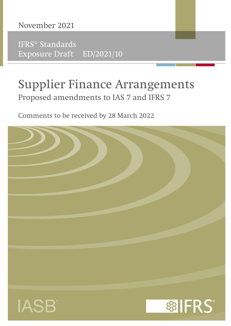

IFRS® Standards Exposure Draft ED/2021/10

## Supplier Finance Arrangements Proposed amendments to IAS 7 and IFRS 7

Comments to be received by 28 March 2022

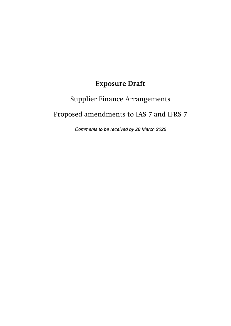## **Exposure Draft**

# Supplier Finance Arrangements Proposed amendments to IAS 7 and IFRS 7

Comments to be received by 28 March 2022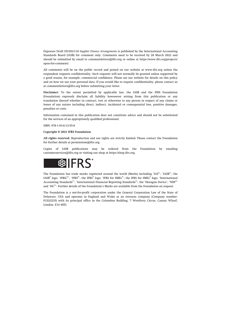Exposure Draft ED/2021/10 *Supplier Finance Arrangements* is published by the International Accounting Standards Board (IASB) for comment only. Comments need to be received by 28 March 2022 and should be submitted by email to [commentletters@ifrs.org](mailto:commentletters@ifrs.org) or online at [https://www.ifrs.org/projects/](https://www.ifrs.org/projects/open-for-comment/) [open-for-comment/.](https://www.ifrs.org/projects/open-for-comment/)

All comments will be on the public record and posted on our website at [www.ifrs.org](https://www.ifrs.org) unless the respondent requests confidentiality. Such requests will not normally be granted unless supported by a good reason, for example, commercial confidence. Please see our website for details on this policy and on how we use your personal data. If you would like to request confidentiality, please contact us at [commentletters@ifrs.org](mailto:commentletters@ifrs.org) before submitting your letter.

**Disclaimer:** To the extent permitted by applicable law, the IASB and the IFRS Foundation (Foundation) expressly disclaim all liability howsoever arising from this publication or any translation thereof whether in contract, tort or otherwise to any person in respect of any claims or losses of any nature including direct, indirect, incidental or consequential loss, punitive damages, penalties or costs.

Information contained in this publication does not constitute advice and should not be substituted for the services of an appropriately qualified professional.

ISBN: 978-1-914113-55-0

#### **Copyright © 2021 IFRS Foundation**

**All rights reserved.** Reproduction and use rights are strictly limited. Please contact the Foundation for further details at [permissions@ifrs.org](mailto:permissions@ifrs.org).

Copies of IASB publications may be ordered from the Foundation by emailing [customerservices@ifrs.org](mailto:customerservices@ifrs.org) or visiting our shop at<https://shop.ifrs.org>.



The Foundation has trade marks registered around the world (Marks) including 'IAS®', 'IASB®', the IASB® logo, 'IFRIC®', 'IFRS®', the IFRS® logo, 'IFRS for SMEs®', the IFRS for SMEs® logo, 'International Accounting Standards®', 'International Financial Reporting Standards®', the 'Hexagon Device', 'NIIF®' and 'SIC®'. Further details of the Foundation's Marks are available from the Foundation on request.

The Foundation is a not-for-profit corporation under the General Corporation Law of the State of Delaware, USA and operates in England and Wales as an overseas company (Company number: FC023235) with its principal office in the Columbus Building, 7 Westferry Circus, Canary Wharf, London, E14 4HD.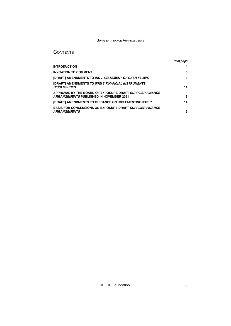## **CONTENTS**

|                                                                                                            | from page |
|------------------------------------------------------------------------------------------------------------|-----------|
| <b>INTRODUCTION</b>                                                                                        | 4         |
| <b>INVITATION TO COMMENT</b>                                                                               | 5         |
| <b>[DRAFT] AMENDMENTS TO IAS 7 STATEMENT OF CASH FLOWS</b>                                                 | 8         |
| [DRAFT] AMENDMENTS TO IFRS 7 FINANCIAL INSTRUMENTS:<br><b>DISCLOSURES</b>                                  | 11        |
| APPROVAL BY THE BOARD OF EXPOSURE DRAFT SUPPLIER FINANCE<br><b>ARRANGEMENTS PUBLISHED IN NOVEMBER 2021</b> | 13        |
| <b>[DRAFT] AMENDMENTS TO GUIDANCE ON IMPLEMENTING IFRS 7</b>                                               | 14        |
| <b>BASIS FOR CONCLUSIONS ON EXPOSURE DRAFT SUPPLIER FINANCE</b><br><b>ARRANGEMENTS</b>                     | 15        |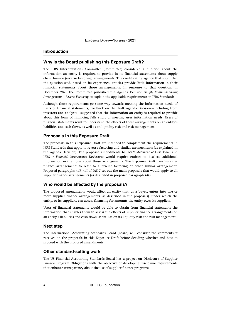## <span id="page-4-0"></span>**Introduction**

## **Why is the Board publishing this Exposure Draft?**

The IFRS Interpretations Committee (Committee) considered a question about the information an entity is required to provide in its financial statements about supply chain finance (reverse factoring) arrangements. The credit rating agency that submitted the question said, based on its experience, entities provide little information in their financial statements about those arrangements. In response to that question, in December 2020 the Committee published the Agenda Decision *Supply Chain Financing Arrangements—Reverse Factoring* to explain the applicable requirements in IFRS Standards.

Although those requirements go some way towards meeting the information needs of users of financial statements, feedback on the draft Agenda Decision—including from investors and analysts—suggested that the information an entity is required to provide about this form of financing falls short of meeting user information needs. Users of financial statements want to understand the effects of these arrangements on an entity's liabilities and cash flows, as well as on liquidity risk and risk management.

## **Proposals in this Exposure Draft**

The proposals in this Exposure Draft are intended to complement the requirements in IFRS Standards that apply to reverse factoring and similar arrangements (as explained in the Agenda Decision). The proposed amendments to IAS 7 *Statement of Cash Flows* and IFRS 7 *Financial Instruments: Disclosures* would require entities to disclose additional information in the notes about those arrangements. The Exposure Draft uses 'supplier finance arrangement' to refer to a reverse factoring or other similar arrangement. Proposed paragraphs 44F–44I of IAS 7 set out the main proposals that would apply to all supplier finance arrangements (as described in proposed paragraph 44G).

## **Who would be affected by the proposals?**

The proposed amendments would affect an entity that, as a buyer, enters into one or more supplier finance arrangements (as described in the proposals), under which the entity, or its suppliers, can access financing for amounts the entity owes its suppliers.

Users of financial statements would be able to obtain from financial statements the information that enables them to assess the effects of supplier finance arrangements on an entity's liabilities and cash flows, as well as on its liquidity risk and risk management.

## **Next step**

The International Accounting Standards Board (Board) will consider the comments it receives on the proposals in this Exposure Draft before deciding whether and how to proceed with the proposed amendments.

## **Other standard-setting work**

The US Financial Accounting Standards Board has a project on Disclosure of Supplier Finance Program Obligations with the objective of developing disclosure requirements that enhance transparency about the use of supplier finance programs.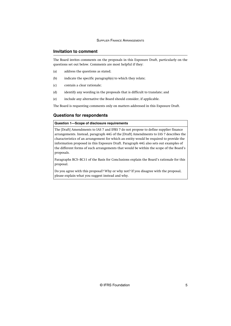## <span id="page-5-0"></span>**Invitation to comment**

The Board invites comments on the proposals in this Exposure Draft, particularly on the questions set out below. Comments are most helpful if they:

- (a) address the questions as stated;
- (b) indicate the specific paragraph(s) to which they relate;
- (c) contain a clear rationale;
- (d) identify any wording in the proposals that is difficult to translate; and
- (e) include any alternative the Board should consider, if applicable.

The Board is requesting comments only on matters addressed in this Exposure Draft.

## **Questions for respondents**

## **Question 1—Scope of disclosure requirements**

The [Draft] Amendments to IAS 7 and IFRS 7 do not propose to define supplier finance arrangements. Instead, paragraph 44G of the [Draft] Amendments to IAS 7 describes the characteristics of an arrangement for which an entity would be required to provide the information proposed in this Exposure Draft. Paragraph 44G also sets out examples of the different forms of such arrangements that would be within the scope of the Board's proposals.

Paragraphs BC5–BC11 of the Basis for Conclusions explain the Board's rationale for this proposal.

Do you agree with this proposal? Why or why not? If you disagree with the proposal, please explain what you suggest instead and why.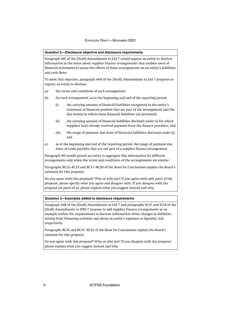#### **Question 2—Disclosure objective and disclosure requirements**

Paragraph 44F of the [Draft] Amendments to IAS 7 would require an entity to disclose information in the notes about supplier finance arrangements that enables users of financial statements to assess the effects of those arrangements on an entity's liabilities and cash flows.

To meet that objective, paragraph 44H of the [Draft] Amendments to IAS 7 proposes to require an entity to disclose:

- (a) the terms and conditions of each arrangement;
- (b) for each arrangement, as at the beginning and end of the reporting period:
	- (i) the carrying amount of financial liabilities recognised in the entity's statement of financial position that are part of the arrangement and the line item(s) in which those financial liabilities are presented;
	- (ii) the carrying amount of financial liabilities disclosed under (i) for which suppliers have already received payment from the finance providers; and
	- (iii) the range of payment due dates of financial liabilities disclosed under (i); and
- (c) as at the beginning and end of the reporting period, the range of payment due dates of trade payables that are not part of a supplier finance arrangement.

Paragraph 44I would permit an entity to aggregate this information for different arrangements only when the terms and conditions of the arrangements are similar.

Paragraphs BC12–BC15 and BC17–BC20 of the Basis for Conclusions explain the Board's rationale for this proposal.

Do you agree with this proposal? Why or why not? If you agree with only parts of the proposal, please specify what you agree and disagree with. If you disagree with the proposal (or parts of it), please explain what you suggest instead and why.

#### **Question 3—Examples added to disclosure requirements**

Paragraph 44B of the [Draft] Amendments to IAS 7 and paragraphs B11F and IG18 of the [Draft] Amendments to IFRS 7 propose to add supplier finance arrangements as an example within the requirements to disclose information about changes in liabilities arising from financing activities and about an entity's exposure to liquidity risk, respectively.

Paragraphs BC16 and BC21–BC22 of the Basis for Conclusions explain the Board's rationale for this proposal.

Do you agree with this proposal? Why or why not? If you disagree with the proposal, please explain what you suggest instead and why.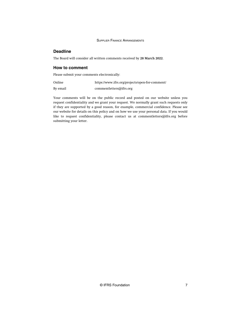## **Deadline**

The Board will consider all written comments received by **28 March 2022**.

## **How to comment**

Please submit your comments electronically:

| Online   | https://www.ifrs.org/projects/open-for-comment/ |
|----------|-------------------------------------------------|
| By email | comment letters@ifrs.org                        |

Your comments will be on the public record and posted on our website unless you request confidentiality and we grant your request. We normally grant such requests only if they are supported by a good reason, for example, commercial confidence. Please see our website for details on this policy and on how we use your personal data. If you would like to request confidentiality, please contact us at [commentletters@ifrs.org](mailto:commentletters@ifrs.org) before submitting your letter.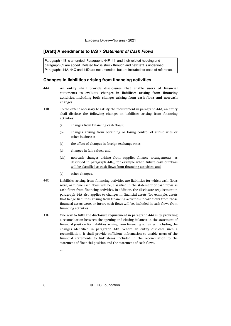## <span id="page-8-0"></span>**[Draft] Amendments to IAS 7 Statement of Cash Flows**

Paragraph 44B is amended. Paragraphs 44F–44I and their related heading and paragraph 62 are added. Deleted text is struck through and new text is underlined. Paragraphs 44A, 44C and 44D are not amended, but are included for ease of reference.

#### **Changes in liabilities arising from financing activities**

- **An entity shall provide disclosures that enable users of financial statements to evaluate changes in liabilities arising from financing activities, including both changes arising from cash flows and non-cash changes. 44A**
- To the extent necessary to satisfy the requirement in paragraph 44A, an entity shall disclose the following changes in liabilities arising from financing activities: 44B
	- (a) changes from financing cash flows;
	- (b) changes arising from obtaining or losing control of subsidiaries or other businesses;
	- (c) the effect of changes in foreign exchange rates;
	- (d) changes in fair values;-and
	- (da) non-cash changes arising from supplier finance arrangements (as described in paragraph 44G), for example when future cash outflows will be classified as cash flows from financing activities; and
	- (e) other changes.
- Liabilities arising from financing activities are liabilities for which cash flows were, or future cash flows will be, classified in the statement of cash flows as cash flows from financing activities. In addition, the disclosure requirement in paragraph 44A also applies to changes in financial assets (for example, assets that hedge liabilities arising from financing activities) if cash flows from those financial assets were, or future cash flows will be, included in cash flows from financing activities. 44C
- One way to fulfil the disclosure requirement in paragraph 44A is by providing a reconciliation between the opening and closing balances in the statement of financial position for liabilities arising from financing activities, including the changes identified in paragraph 44B. Where an entity discloses such a reconciliation, it shall provide sufficient information to enable users of the financial statements to link items included in the reconciliation to the statement of financial position and the statement of cash flows. 44D

...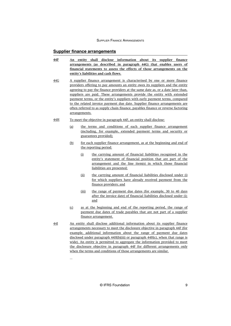## **Supplier finance arrangements**

- **An entity shall disclose information about its supplier finance arrangements (as described in paragraph 44G) that enables users of financial statements to assess the effects of those arrangements on the entity's liabilities and cash flows. 44F**
- A supplier finance arrangement is characterised by one or more finance providers offering to pay amounts an entity owes its suppliers and the entity agreeing to pay the finance providers at the same date as, or a date later than, suppliers are paid. These arrangements provide the entity with extended payment terms, or the entity's suppliers with early payment terms, compared to the related invoice payment due date. Supplier finance arrangements are often referred to as supply chain finance, payables finance or reverse factoring arrangements. 44G
- To meet the objective in paragraph 44F, an entity shall disclose: 44H
	- (a) the terms and conditions of each supplier finance arrangement (including, for example, extended payment terms and security or guarantees provided);
	- (b) for each supplier finance arrangement, as at the beginning and end of the reporting period:
		- (i) the carrying amount of financial liabilities recognised in the entity's statement of financial position that are part of the arrangement and the line item(s) in which those financial liabilities are presented;
		- (ii) the carrying amount of financial liabilities disclosed under (i) for which suppliers have already received payment from the finance providers; and
		- (iii) the range of payment due dates (for example, 30 to 40 days after the invoice date) of financial liabilities disclosed under (i); and
	- (c) as at the beginning and end of the reporting period, the range of payment due dates of trade payables that are not part of a supplier finance arrangement.
- An entity shall disclose additional information about its supplier finance arrangements necessary to meet the disclosure objective in paragraph 44F (for example, additional information about the range of payment due dates disclosed under paragraph 44H(b)(iii) or paragraph 44H(c), when that range is wide). An entity is permitted to aggregate the information provided to meet the disclosure objective in paragraph 44F for different arrangements only when the terms and conditions of those arrangements are similar. 44I

...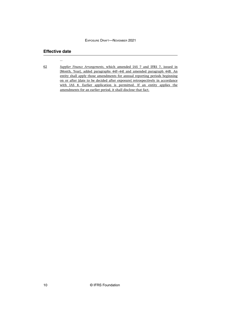## **Effective date**

...

*Supplier Finance Arrangements*, which amended IAS 7 and IFRS 7, issued in [Month, Year], added paragraphs 44F–44I and amended paragraph 44B. An entity shall apply those amendments for annual reporting periods beginning on or after [date to be decided after exposure] retrospectively in accordance with IAS 8. Earlier application is permitted. If an entity applies the amendments for an earlier period, it shall disclose that fact. 62

10 © IFRS Foundation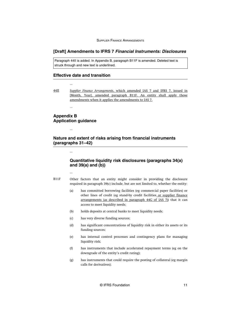## <span id="page-11-0"></span>**[Draft] Amendments to IFRS 7 Financial Instruments: Disclosures**

Paragraph 44II is added. In Appendix B, paragraph B11F is amended. Deleted text is struck through and new text is underlined.

## **Effective date and transition**

*Supplier Finance Arrangements*, which amended IAS 7 and IFRS 7, issued in [Month, Year], amended paragraph B11F. An entity shall apply those amendments when it applies the amendments to IAS 7. 44II

## **Appendix B Application guidance**

...

...

...

...

## **Nature and extent of risks arising from financial instruments (paragraphs 31–42)**

## **Quantitative liquidity risk disclosures (paragraphs 34(a) and 39(a) and (b))**

...

- Other factors that an entity might consider in providing the disclosure required in paragraph 39(c) include, but are not limited to, whether the entity: B11F
	- (a) has committed borrowing facilities (eg commercial paper facilities) or other lines of credit (eg stand-by credit facilities or supplier finance arrangements (as described in paragraph 44G of IAS 7)) that it can access to meet liquidity needs;
	- (b) holds deposits at central banks to meet liquidity needs;
	- (c) has very diverse funding sources;
	- (d) has significant concentrations of liquidity risk in either its assets or its funding sources;
	- (e) has internal control processes and contingency plans for managing liquidity risk;
	- (f) has instruments that include accelerated repayment terms (eg on the downgrade of the entity's credit rating);
	- (g) has instruments that could require the posting of collateral (eg margin calls for derivatives);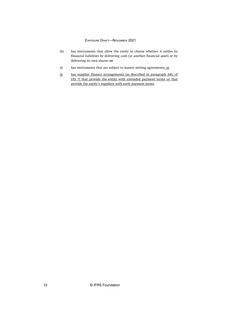- (h) has instruments that allow the entity to choose whether it settles its financial liabilities by delivering cash (or another financial asset) or by delivering its own shares; or
- (i) has instruments that are subject to master netting agreements; or
- (j) has supplier finance arrangements (as described in paragraph 44G of IAS 7) that provide the entity with extended payment terms or that provide the entity's suppliers with early payment terms.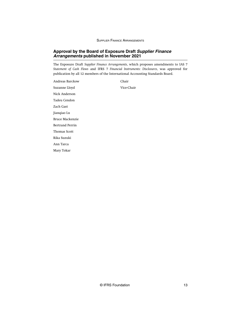## <span id="page-13-0"></span>**Approval by the Board of Exposure Draft Supplier Finance Arrangements published in November 2021**

The Exposure Draft *Supplier Finance Arrangements*, which proposes amendments to IAS 7 *Statement of Cash Flows* and IFRS 7 *Financial Instruments: Disclosures*, was approved for publication by all 12 members of the International Accounting Standards Board.

Andreas Barckow Chair Suzanne Lloyd Vice-Chair Nick Anderson Tadeu Cendon Zach Gast Jianqiao Lu Bruce Mackenzie Bertrand Perrin Thomas Scott Rika Suzuki Ann Tarca Mary Tokar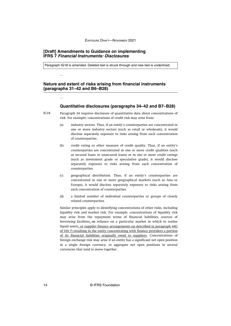## <span id="page-14-0"></span>**[Draft] Amendments to Guidance on implementing IFRS 7 Financial Instruments: Disclosures**

...

...

Paragraph IG18 is amended. Deleted text is struck through and new text is underlined.

## **Nature and extent of risks arising from financial instruments (paragraphs 31–42 and B6–B28)**

## **Quantitative disclosures (paragraphs 34–42 and B7–B28)**

- Paragraph 34 requires disclosure of quantitative data about concentrations of risk. For example, concentrations of credit risk may arise from: IG18
	- (a) industry sectors. Thus, if an entity's counterparties are concentrated in one or more industry sectors (such as retail or wholesale), it would disclose separately exposure to risks arising from each concentration of counterparties.
	- (b) credit rating or other measure of credit quality. Thus, if an entity's counterparties are concentrated in one or more credit qualities (such as secured loans or unsecured loans) or in one or more credit ratings (such as investment grade or speculative grade), it would disclose separately exposure to risks arising from each concentration of counterparties.
	- (c) geographical distribution. Thus, if an entity's counterparties are concentrated in one or more geographical markets (such as Asia or Europe), it would disclose separately exposure to risks arising from each concentration of counterparties.
	- (d) a limited number of individual counterparties or groups of closely related counterparties.

Similar principles apply to identifying concentrations of other risks, including liquidity risk and market risk. For example, concentrations of liquidity risk may arise from the repayment terms of financial liabilities, sources of borrowing facilities, or reliance on a particular market in which to realise liquid assets, or supplier finance arrangements (as described in paragraph 44G of IAS 7) resulting in the entity concentrating with finance providers a portion of its financial liabilities originally owed to suppliers. Concentrations of foreign exchange risk may arise if an entity has a significant net open position in a single foreign currency, or aggregate net open positions in several currencies that tend to move together.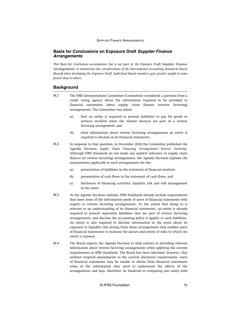## <span id="page-15-0"></span>**Basis for Conclusions on Exposure Draft Supplier Finance Arrangements**

*This Basis for Conclusions accompanies, but is not part of, the Exposure Draft* Supplier Finance Arrangements*. It summarises the considerations of the International Accounting Standards Board (Board) when developing the Exposure Draft. Individual Board members gave greater weight to some factors than to others.*

## **Background**

- The IFRS Interpretations Committee (Committee) considered a question from a credit rating agency about the information required to be provided in financial statements about supply chain finance (reverse factoring) arrangements. The Committee was asked: BC1
	- (a) how an entity is required to present liabilities to pay for goods or services received when the related invoices are part of a reverse factoring arrangement; and
	- (b) what information about reverse factoring arrangements an entity is required to disclose in its financial statements.
- In response to that question, in December 2020 the Committee published the Agenda Decision *Supply Chain Financing Arrangements—Reverse Factoring*. Although IFRS Standards do not make any explicit reference to supply chain finance (or reverse factoring) arrangements, the Agenda Decision explains the requirements applicable to such arrangements for the:  $RC2$ 
	- (a) presentation of liabilities in the statement of financial position;
	- (b) presentation of cash flows in the statement of cash flows; and
	- (c) disclosure of financing activities, liquidity risk and risk management in the notes.
- As the Agenda Decision explains, IFRS Standards already include requirements that meet some of the information needs of users of financial statements with respect to reverse factoring arrangements. To the extent that doing so is relevant to an understanding of its financial statements, an entity is already required to present separately liabilities that are part of reverse factoring arrangements, and disclose the accounting policy it applies to such liabilities. An entity is also required to disclose information in the notes about its exposure to liquidity risk arising from those arrangements that enables users of financial statements to evaluate the nature and extent of risks to which the entity is exposed. BC3
- The Board expects the Agenda Decision to help entities in providing relevant information about reverse factoring arrangements when applying the current requirements in IFRS Standards. The Board has been informed, however, that without targeted amendments to the current disclosure requirements, users of financial statements may be unable to obtain from financial statements some of the information they need to understand the effects of the arrangements and may, therefore, be hindered in comparing one entity with BC4

© IFRS Foundation 15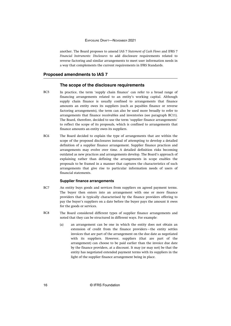another. The Board proposes to amend IAS 7 *Statement of Cash Flows* and IFRS 7 *Financial Instruments: Disclosures* to add disclosure requirements related to reverse factoring and similar arrangements to meet user information needs in a way that complements the current requirements in IFRS Standards.

#### **Proposed amendments to IAS 7**

## **The scope of the disclosure requirements**

- In practice, the term 'supply chain finance' can refer to a broad range of financing arrangements related to an entity's working capital. Although supply chain finance is usually confined to arrangements that finance amounts an entity owes its suppliers (such as payables finance or reverse factoring arrangements), the term can also be used more broadly to refer to arrangements that finance receivables and inventories (see [paragraph BC11](#page-17-0)). The Board, therefore, decided to use the term 'supplier finance arrangements' to reflect the scope of its proposals, which is confined to arrangements that finance amounts an entity owes its suppliers. BC5
- The Board decided to explain the type of arrangements that are within the scope of the proposed disclosures instead of attempting to develop a detailed definition of a supplier finance arrangement. Supplier finance practices and arrangements may evolve over time. A detailed definition risks becoming outdated as new practices and arrangements develop. The Board's approach of explaining rather than defining the arrangements in scope enables the proposals to be framed in a manner that captures the characteristics of such arrangements that give rise to particular information needs of users of financial statements. BC6

#### **Supplier finance arrangements**

- An entity buys goods and services from suppliers on agreed payment terms. The buyer then enters into an arrangement with one or more finance providers that is typically characterised by the finance providers offering to pay the buyer's suppliers on a date before the buyer pays the amount it owes for the goods or services. BC7
- The Board considered different types of supplier finance arrangements and noted that they can be structured in different ways. For example:  $RC8$ 
	- (a) an arrangement can be one in which the entity does not obtain an extension of credit from the finance providers—the entity settles invoices that are part of the arrangement on the due date as negotiated with its suppliers. However, suppliers (that are part of the arrangement) can choose to be paid earlier than the invoice due date by the finance providers, at a discount. It may (or may not) be that the entity has negotiated extended payment terms with its suppliers in the light of the supplier finance arrangement being in place.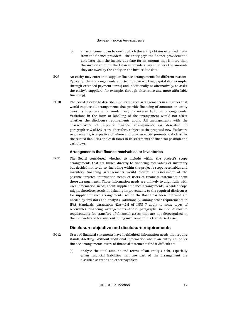- <span id="page-17-0"></span>(b) an arrangement can be one in which the entity obtains extended credit from the finance providers—the entity pays the finance providers at a date later than the invoice due date for an amount that is more than the invoice amount; the finance providers pay suppliers the amounts they are owed by the entity on the invoice due date.
- An entity may enter into supplier finance arrangements for different reasons. Typically, these arrangements aim to improve working capital (for example, through extended payment terms) and, additionally or alternatively, to assist the entity's suppliers (for example, through alternative and more affordable financing).  $RC9$
- The Board decided to describe supplier finance arrangements in a manner that would capture all arrangements that provide financing of amounts an entity owes its suppliers in a similar way to reverse factoring arrangements. Variations in the form or labelling of the arrangement would not affect whether the disclosure requirements apply. All arrangements with the characteristics of supplier finance arrangements (as described in paragraph 44G of IAS 7) are, therefore, subject to the proposed new disclosure requirements, irrespective of where and how an entity presents and classifies the related liabilities and cash flows in its statements of financial position and cash flows. BC10

#### **Arrangements that finance receivables or inventories**

The Board considered whether to include within the project's scope arrangements that are linked directly to financing receivables or inventory but decided not to do so. Including within the project's scope receivables and inventory financing arrangements would require an assessment of the possible targeted information needs of users of financial statements about those arrangements. Those information needs are unlikely to align fully with user information needs about supplier finance arrangements. A wider scope might, therefore, result in delaying improvements to the required disclosures for supplier finance arrangements, which the Board has been informed are needed by investors and analysts. Additionally, among other requirements in IFRS Standards, paragraphs 42A–42H of IFRS 7 apply to some types of receivables financing arrangements—those paragraphs include disclosure requirements for transfers of financial assets that are not derecognised in their entirety and for any continuing involvement in a transferred asset. BC11

## **Disclosure objective and disclosure requirements**

- Users of financial statements have highlighted information needs that require standard-setting. Without additional information about an entity's supplier finance arrangements, users of financial statements find it difficult to: BC12
	- (a) analyse the total amount and terms of an entity's debt, especially when financial liabilities that are part of the arrangement are classified as trade and other payables;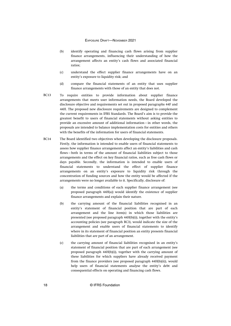- (b) identify operating and financing cash flows arising from supplier finance arrangements, influencing their understanding of how the arrangement affects an entity's cash flows and associated financial ratios;
- (c) understand the effect supplier finance arrangements have on an entity's exposure to liquidity risk; and
- (d) compare the financial statements of an entity that uses supplier finance arrangements with those of an entity that does not.
- To require entities to provide information about supplier finance arrangements that meets user information needs, the Board developed the disclosure objective and requirements set out in proposed paragraphs 44F and 44H. The proposed new disclosure requirements are designed to complement the current requirements in IFRS Standards. The Board's aim is to provide the greatest benefit to users of financial statements without asking entities to provide an excessive amount of additional information—in other words, the proposals are intended to balance implementation costs for entities and others with the benefits of the information for users of financial statements. BC13
- The Board identified two objectives when developing the disclosure proposals. Firstly, the information is intended to enable users of financial statements to assess how supplier finance arrangements affect an entity's liabilities and cash flows—both in terms of the amount of financial liabilities subject to those arrangements and the effect on key financial ratios, such as free cash flows or days payable. Secondly, the information is intended to enable users of financial statements to understand the effect of supplier finance arrangements on an entity's exposure to liquidity risk through the concentration of funding sources and how the entity would be affected if the arrangements were no longer available to it. Specifically, disclosure of: BC14
	- (a) the terms and conditions of each supplier finance arrangement (see proposed paragraph 44H(a)) would identify the existence of supplier finance arrangements and explain their nature.
	- (b) the carrying amount of the financial liabilities recognised in an entity's statement of financial position that are part of each arrangement and the line item(s) in which those liabilities are presented (see proposed paragraph 44H(b)(i)), together with the entity's accounting policies (see paragraph BC3), would indicate the size of the arrangement and enable users of financial statements to identify where in its statement of financial position an entity presents financial liabilities that are part of an arrangement.
	- (c) the carrying amount of financial liabilities recognised in an entity's statement of financial position that are part of each arrangement (see proposed paragraph 44H(b)(i)), together with the carrying amount of these liabilities for which suppliers have already received payment from the finance providers (see proposed paragraph 44H(b)(ii)), would help users of financial statements analyse the entity's debt and consequential effects on operating and financing cash flows.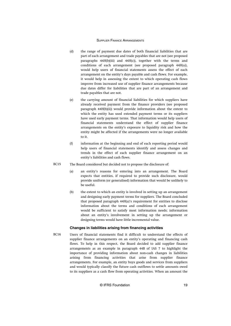- (d) the range of payment due dates of both financial liabilities that are part of each arrangement and trade payables that are not (see proposed paragraphs 44H(b)(iii) and 44H(c)), together with the terms and conditions of each arrangement (see proposed paragraph 44H(a)), would help users of financial statements assess the effect of each arrangement on the entity's days payable and cash flows. For example, it would help in assessing the extent to which operating cash flows improve from increased use of supplier finance arrangements because due dates differ for liabilities that are part of an arrangement and trade payables that are not.
- (e) the carrying amount of financial liabilities for which suppliers have already received payment from the finance providers (see proposed paragraph 44H(b)(ii)) would provide information about the extent to which the entity has used extended payment terms or its suppliers have used early payment terms. That information would help users of financial statements understand the effect of supplier finance arrangements on the entity's exposure to liquidity risk and how the entity might be affected if the arrangements were no longer available to it.
- (f) information at the beginning and end of each reporting period would help users of financial statements identify and assess changes and trends in the effect of each supplier finance arrangement on an entity's liabilities and cash flows.
- The Board considered but decided not to propose the disclosure of: BC15
	- (a) an entity's reasons for entering into an arrangement. The Board expects that entities, if required to provide such disclosure, would provide uniform (or generalised) information that would be unlikely to be useful.
	- (b) the extent to which an entity is involved in setting up an arrangement and designing early payment terms for suppliers. The Board concluded that proposed paragraph 44H(a)'s requirement for entities to disclose information about the terms and conditions of each arrangement would be sufficient to satisfy most information needs; information about an entity's involvement in setting up the arrangement or designing terms would have little incremental value.

#### **Changes in liabilities arising from financing activities**

Users of financial statements find it difficult to understand the effects of supplier finance arrangements on an entity's operating and financing cash flows. To help in this respect, the Board decided to add supplier finance arrangements as an example in paragraph 44B of IAS 7 to highlight the importance of providing information about non-cash changes in liabilities arising from financing activities that arise from supplier finance arrangements. For example, an entity buys goods and services from suppliers and would typically classify the future cash outflows to settle amounts owed to its suppliers as a cash flow from operating activities. When an amount the  $RC16$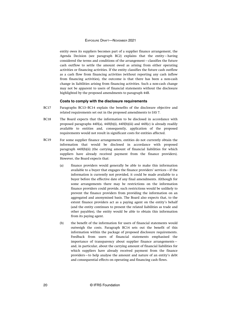entity owes its suppliers becomes part of a supplier finance arrangement, the Agenda Decision (see paragraph BC2) explains that the entity—having considered the terms and conditions of the arrangement—classifies the future cash outflow to settle the amount owed as arising from either operating activities or financing activities. If the entity classifies the future cash outflow as a cash flow from financing activities (without reporting any cash inflow from financing activities), the outcome is that there has been a non-cash change in liabilities arising from financing activities. Such a non-cash change may not be apparent to users of financial statements without the disclosure highlighted by the proposed amendments to paragraph 44B.

#### **Costs to comply with the disclosure requirements**

- Paragraphs BC13–BC14 explain the benefits of the disclosure objective and related requirements set out in the proposed amendments to IAS 7. BC17
- The Board expects that the information to be disclosed in accordance with proposed paragraphs  $44H(a)$ ,  $44H(b)(i)$ ,  $44H(b)(iii)$  and  $44H(c)$  is already readily available to entities and, consequently, application of the proposed requirements would not result in significant costs for entities affected. BC18
- For some supplier finance arrangements, entities do not currently obtain the information that would be disclosed in accordance with proposed paragraph 44H(b)(ii) (the carrying amount of financial liabilities for which suppliers have already received payment from the finance providers). However, the Board expects that: BC19
	- (a) finance providers would generally be able to make this information available to a buyer that engages the finance providers' services—if the information is currently not provided, it could be made available to a buyer before the effective date of any final amendments. Although for some arrangements there may be restrictions on the information finance providers could provide, such restrictions would be unlikely to prevent the finance providers from providing the information on an aggregated and anonymised basis. The Board also expects that, to the extent finance providers act as a paying agent on the entity's behalf (and the entity continues to present the related liabilities as trade and other payables), the entity would be able to obtain this information from its paying agent.
	- (b) the benefit of the information for users of financial statements would outweigh the costs. Paragraph BC14 sets out the benefit of this information within the package of proposed disclosure requirements. Feedback from users of financial statements emphasised the importance of transparency about supplier finance arrangements and, in particular, about the carrying amount of financial liabilities for which suppliers have already received payment from the finance providers—to help analyse the amount and nature of an entity's debt and consequential effects on operating and financing cash flows.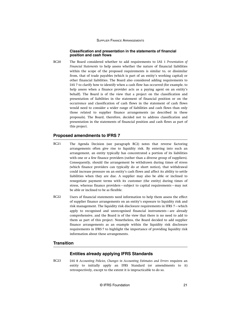#### **Classification and presentation in the statements of financial position and cash flows**

The Board considered whether to add requirements to IAS 1 *Presentation of Financial Statements* to help assess whether the nature of financial liabilities within the scope of the proposed requirements is similar to, or dissimilar from, that of trade payables (which is part of an entity's working capital) or other financial liabilities. The Board also considered adding requirements to IAS 7 to clarify how to identify when a cash flow has occurred (for example, to help assess when a finance provider acts as a paying agent on an entity's behalf). The Board is of the view that a project on the classification and presentation of liabilities in the statement of financial position or on the occurrence and classification of cash flows in the statement of cash flows would need to consider a wider range of liabilities and cash flows than only those related to supplier finance arrangements (as described in these proposals). The Board, therefore, decided not to address classification and presentation in the statements of financial position and cash flows as part of this project.  $RC20$ 

## **Proposed amendments to IFRS 7**

- The Agenda Decision (see paragraph BC2) notes that reverse factoring arrangements often give rise to liquidity risk. By entering into such an arrangement, an entity typically has concentrated a portion of its liabilities with one or a few finance providers (rather than a diverse group of suppliers). Consequently, should the arrangement be withdrawn during times of stress (which finance providers can typically do at short notice), that withdrawal could increase pressure on an entity's cash flows and affect its ability to settle liabilities when they are due. A supplier may also be able or inclined to renegotiate payment terms with its customer (the entity) during times of stress, whereas finance providers—subject to capital requirements—may not be able or inclined to be as flexible. BC21
- Users of financial statements need information to help them assess the effect of supplier finance arrangements on an entity's exposure to liquidity risk and risk management. The liquidity risk disclosure requirements in IFRS 7—which apply to recognised and unrecognised financial instruments—are already comprehensive, and the Board is of the view that there is no need to add to them as part of this project. Nonetheless, the Board decided to add supplier finance arrangements as an example within the liquidity risk disclosure requirements in IFRS 7 to highlight the importance of providing liquidity risk information about these arrangements. BC22

## **Transition**

## **Entities already applying IFRS Standards**

IAS 8 *Accounting Policies, Changes in Accounting Estimates and Errors* requires an entity to initially apply an IFRS Standard (or amendments to it) retrospectively, except to the extent it is impracticable to do so. BC23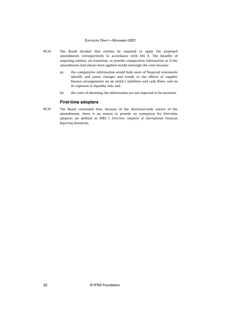- The Board decided that entities be required to apply the proposed amendments retrospectively in accordance with IAS 8. The benefits of requiring entities, on transition, to provide comparative information as if the amendments had always been applied would outweigh the costs because: BC24
	- (a) the comparative information would help users of financial statements identify and assess changes and trends in the effects of supplier finance arrangements on an entity's liabilities and cash flows, and on its exposure to liquidity risk; and
	- (b) the costs of obtaining the information are not expected to be excessive.

## **First-time adopters**

The Board concluded that, because of the disclosure-only nature of the amendments, there is no reason to provide an exemption for first-time adopters (as defined in IFRS 1 *First-time Adoption of International Financial Reporting Standards*). BC25